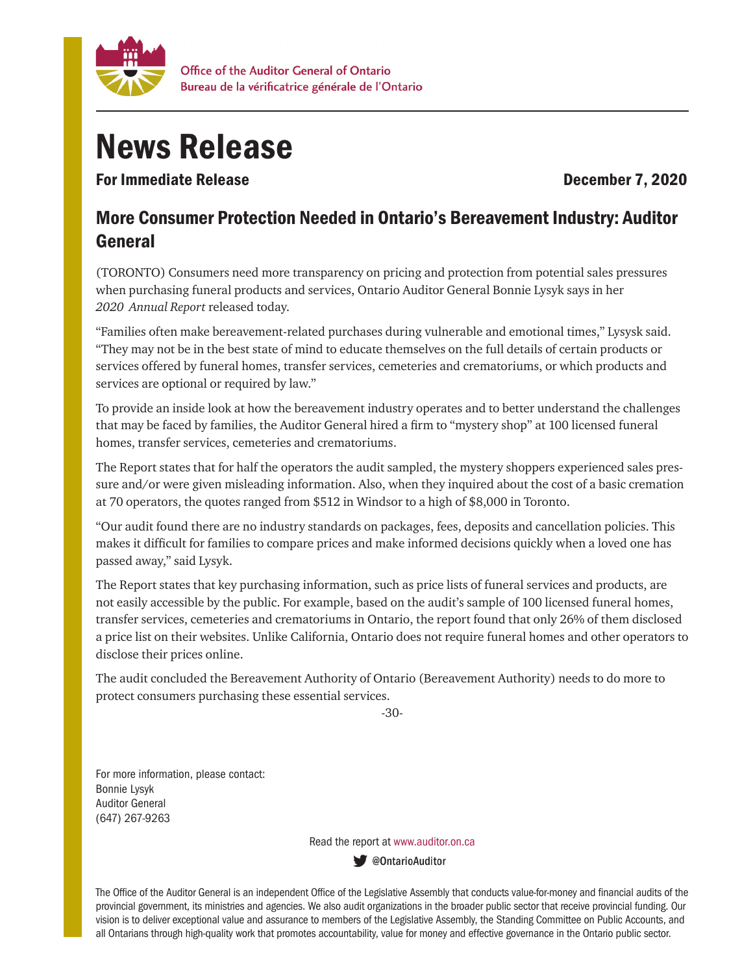

## News Release

For Immediate Release **December 7, 2020** 

## More Consumer Protection Needed in Ontario's Bereavement Industry: Auditor General

(TORONTO) Consumers need more transparency on pricing and protection from potential sales pressures when purchasing funeral products and services, Ontario Auditor General Bonnie Lysyk says in her *2020 Annual Report* released today.

"Families often make bereavement-related purchases during vulnerable and emotional times," Lysysk said. "They may not be in the best state of mind to educate themselves on the full details of certain products or services offered by funeral homes, transfer services, cemeteries and crematoriums, or which products and services are optional or required by law."

To provide an inside look at how the bereavement industry operates and to better understand the challenges that may be faced by families, the Auditor General hired a firm to "mystery shop" at 100 licensed funeral homes, transfer services, cemeteries and crematoriums.

The Report states that for half the operators the audit sampled, the mystery shoppers experienced sales pressure and/or were given misleading information. Also, when they inquired about the cost of a basic cremation at 70 operators, the quotes ranged from \$512 in Windsor to a high of \$8,000 in Toronto.

"Our audit found there are no industry standards on packages, fees, deposits and cancellation policies. This makes it difficult for families to compare prices and make informed decisions quickly when a loved one has passed away," said Lysyk.

The Report states that key purchasing information, such as price lists of funeral services and products, are not easily accessible by the public. For example, based on the audit's sample of 100 licensed funeral homes, transfer services, cemeteries and crematoriums in Ontario, the report found that only 26% of them disclosed a price list on their websites. Unlike California, Ontario does not require funeral homes and other operators to disclose their prices online.

The audit concluded the Bereavement Authority of Ontario (Bereavement Authority) needs to do more to protect consumers purchasing these essential services.

-30-

For more information, please contact: Bonnie Lysyk Auditor General (647) 267-9263

Read the report at www.auditor.on.ca

ContarioAuditor

The Office of the Auditor General is an independent Office of the Legislative Assembly that conducts value-for-money and financial audits of the provincial government, its ministries and agencies. We also audit organizations in the broader public sector that receive provincial funding. Our vision is to deliver exceptional value and assurance to members of the Legislative Assembly, the Standing Committee on Public Accounts, and all Ontarians through high-quality work that promotes accountability, value for money and effective governance in the Ontario public sector.